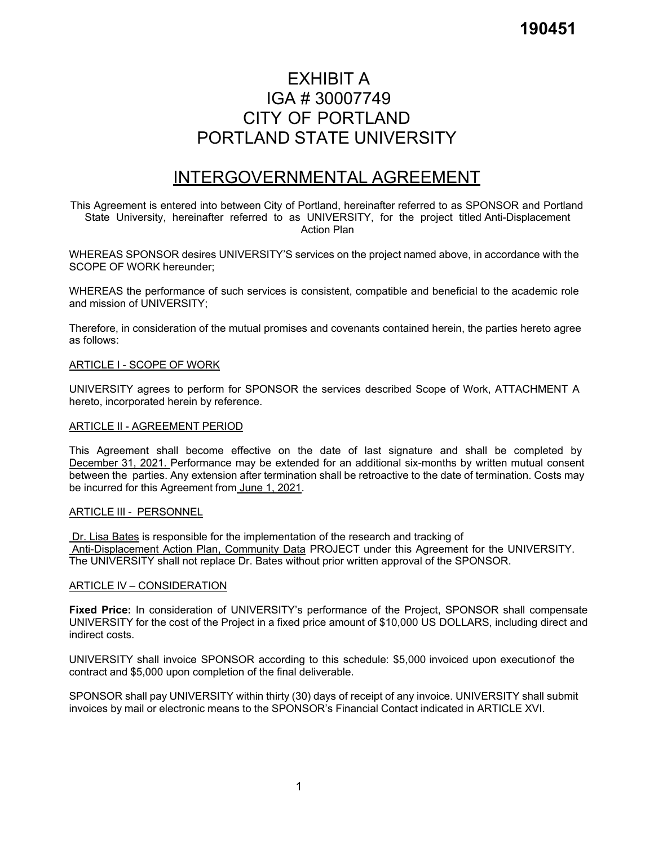# EXHIBIT A IGA # 30007749 CITY OF PORTLAND PORTLAND STATE UNIVERSITY

# INTERGOVERNMENTAL AGREEMENT

This Agreement is entered into between City of Portland, hereinafter referred to as SPONSOR and Portland State University, hereinafter referred to as UNIVERSITY, for the project titled Anti-Displacement Action Plan

WHEREAS SPONSOR desires UNIVERSITY'S services on the project named above, in accordance with the SCOPE OF WORK hereunder;

WHEREAS the performance of such services is consistent, compatible and beneficial to the academic role and mission of UNIVERSITY;

Therefore, in consideration of the mutual promises and covenants contained herein, the parties hereto agree as follows:

#### ARTICLE I - SCOPE OF WORK

UNIVERSITY agrees to perform for SPONSOR the services described Scope of Work, ATTACHMENT A hereto, incorporated herein by reference.

#### ARTICLE II - AGREEMENT PERIOD

This Agreement shall become effective on the date of last signature and shall be completed by December 31, 2021. Performance may be extended for an additional six-months by written mutual consent between the parties. Any extension after termination shall be retroactive to the date of termination. Costs may be incurred for this Agreement from June 1, 2021.

#### ARTICLE III - PERSONNEL

Dr. Lisa Bates is responsible for the implementation of the research and tracking of Anti-Displacement Action Plan, Community Data PROJECT under this Agreement for the UNIVERSITY. The UNIVERSITY shall not replace Dr. Bates without prior written approval of the SPONSOR.

#### ARTICLE IV – CONSIDERATION

**Fixed Price:** In consideration of UNIVERSITY's performance of the Project, SPONSOR shall compensate UNIVERSITY for the cost of the Project in a fixed price amount of \$10,000 US DOLLARS, including direct and indirect costs.

UNIVERSITY shall invoice SPONSOR according to this schedule: \$5,000 invoiced upon execution of the contract and \$5,000 upon completion of the final deliverable.

SPONSOR shall pay UNIVERSITY within thirty (30) days of receipt of any invoice. UNIVERSITY shall submit invoices by mail or electronic means to the SPONSOR's Financial Contact indicated in ARTICLE XVI.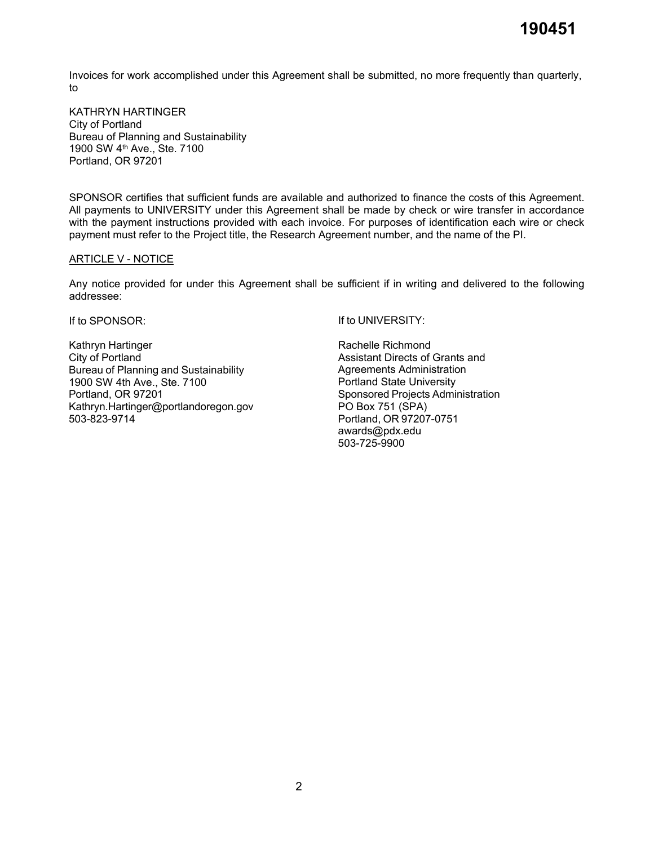Invoices for work accomplished under this Agreement shall be submitted, no more frequently than quarterly, to

KATHRYN HARTINGER City of Portland Bureau of Planning and Sustainability 1900 SW 4th Ave., Ste. 7100 Portland, OR 97201

SPONSOR certifies that sufficient funds are available and authorized to finance the costs of this Agreement. All payments to UNIVERSITY under this Agreement shall be made by check or wire transfer in accordance with the payment instructions provided with each invoice. For purposes of identification each wire or check payment must refer to the Project title, the Research Agreement number, and the name of the PI.

#### ARTICLE V - NOTICE

Any notice provided for under this Agreement shall be sufficient if in writing and delivered to the following addressee:

If to SPONSOR:

Kathryn Hartinger City of Portland Bureau of Planning and Sustainability 1900 SW 4th Ave., Ste. 7100 Portland, OR 97201 [Kathryn.Hartinger@portlandoregon.gov](mailto:Kathryn.Hartinger@portlandoregon.gov) 503-823-9714

If to UNIVERSITY:

Rachelle Richmond Assistant Directs of Grants and Agreements Administration Portland State University Sponsored Projects Administration PO Box 751 (SPA) Portland, OR 97207-0751 [awards@pdx.edu](mailto:awards@pdx.edu) 503-725-9900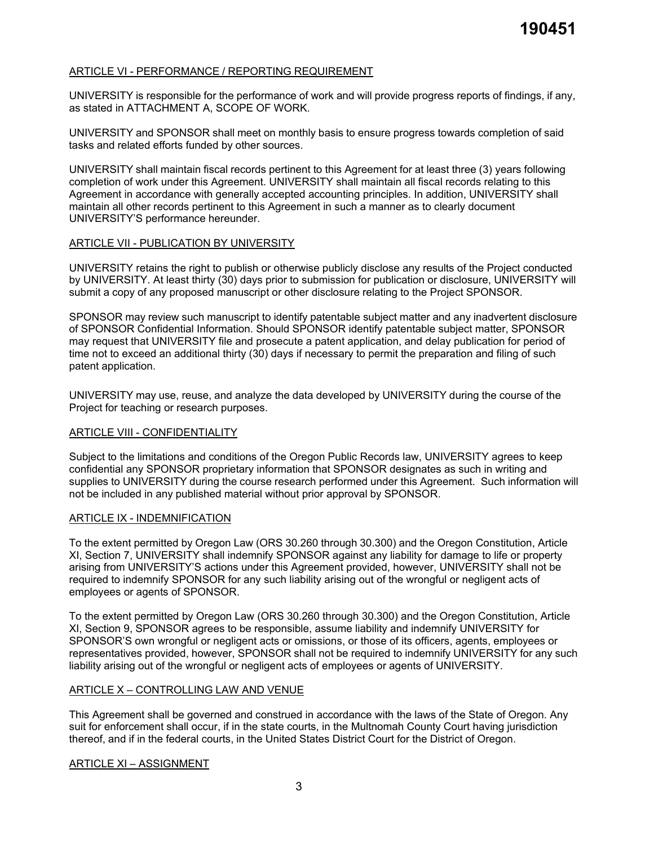# ARTICLE VI - PERFORMANCE / REPORTING REQUIREMENT

UNIVERSITY is responsible for the performance of work and will provide progress reports of findings, if any, as stated in ATTACHMENT A, SCOPE OF WORK.

UNIVERSITY and SPONSOR shall meet on monthly basis to ensure progress towards completion of said tasks and related efforts funded by other sources.

UNIVERSITY shall maintain fiscal records pertinent to this Agreement for at least three (3) years following completion of work under this Agreement. UNIVERSITY shall maintain all fiscal records relating to this Agreement in accordance with generally accepted accounting principles. In addition, UNIVERSITY shall maintain all other records pertinent to this Agreement in such a manner as to clearly document UNIVERSITY'S performance hereunder.

# ARTICLE VII - PUBLICATION BY UNIVERSITY

UNIVERSITY retains the right to publish or otherwise publicly disclose any results of the Project conducted by UNIVERSITY. At least thirty (30) days prior to submission for publication or disclosure, UNIVERSITY will submit a copy of any proposed manuscript or other disclosure relating to the Project SPONSOR.

SPONSOR may review such manuscript to identify patentable subject matter and any inadvertent disclosure of SPONSOR Confidential Information. Should SPONSOR identify patentable subject matter, SPONSOR may request that UNIVERSITY file and prosecute a patent application, and delay publication for period of time not to exceed an additional thirty (30) days if necessary to permit the preparation and filing of such patent application.

UNIVERSITY may use, reuse, and analyze the data developed by UNIVERSITY during the course of the Project for teaching or research purposes.

#### ARTICLE VIII - CONFIDENTIALITY

Subject to the limitations and conditions of the Oregon Public Records law, UNIVERSITY agrees to keep confidential any SPONSOR proprietary information that SPONSOR designates as such in writing and supplies to UNIVERSITY during the course research performed under this Agreement. Such information will not be included in any published material without prior approval by SPONSOR.

#### ARTICLE IX - INDEMNIFICATION

To the extent permitted by Oregon Law (ORS 30.260 through 30.300) and the Oregon Constitution, Article XI, Section 7, UNIVERSITY shall indemnify SPONSOR against any liability for damage to life or property arising from UNIVERSITY'S actions under this Agreement provided, however, UNIVERSITY shall not be required to indemnify SPONSOR for any such liability arising out of the wrongful or negligent acts of employees or agents of SPONSOR.

To the extent permitted by Oregon Law (ORS 30.260 through 30.300) and the Oregon Constitution, Article XI, Section 9, SPONSOR agrees to be responsible, assume liability and indemnify UNIVERSITY for SPONSOR'S own wrongful or negligent acts or omissions, or those of its officers, agents, employees or representatives provided, however, SPONSOR shall not be required to indemnify UNIVERSITY for any such liability arising out of the wrongful or negligent acts of employees or agents of UNIVERSITY.

#### ARTICLE X – CONTROLLING LAW AND VENUE

This Agreement shall be governed and construed in accordance with the laws of the State of Oregon. Any suit for enforcement shall occur, if in the state courts, in the Multnomah County Court having jurisdiction thereof, and if in the federal courts, in the United States District Court for the District of Oregon.

#### ARTICLE XI – ASSIGNMENT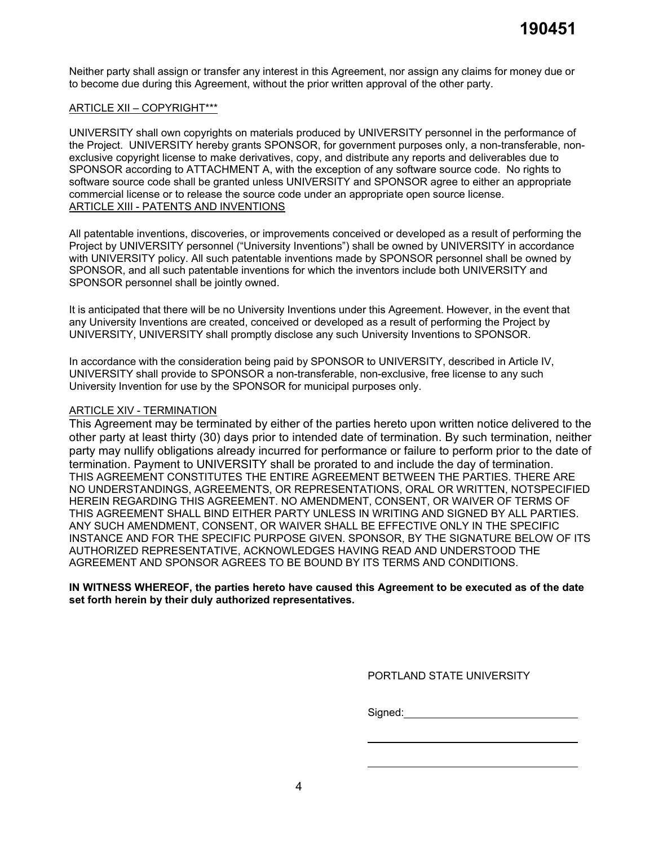Neither party shall assign or transfer any interest in this Agreement, nor assign any claims for money due or to become due during this Agreement, without the prior written approval of the other party.

#### ARTICLE XII – COPYRIGHT\*\*\*

UNIVERSITY shall own copyrights on materials produced by UNIVERSITY personnel in the performance of the Project. UNIVERSITY hereby grants SPONSOR, for government purposes only, a non-transferable, nonexclusive copyright license to make derivatives, copy, and distribute any reports and deliverables due to SPONSOR according to ATTACHMENT A, with the exception of any software source code. No rights to software source code shall be granted unless UNIVERSITY and SPONSOR agree to either an appropriate commercial license or to release the source code under an appropriate open source license. ARTICLE XIII - PATENTS AND INVENTIONS

All patentable inventions, discoveries, or improvements conceived or developed as a result of performing the Project by UNIVERSITY personnel ("University Inventions") shall be owned by UNIVERSITY in accordance with UNIVERSITY policy. All such patentable inventions made by SPONSOR personnel shall be owned by SPONSOR, and all such patentable inventions for which the inventors include both UNIVERSITY and SPONSOR personnel shall be jointly owned.

It is anticipated that there will be no University Inventions under this Agreement. However, in the event that any University Inventions are created, conceived or developed as a result of performing the Project by UNIVERSITY, UNIVERSITY shall promptly disclose any such University Inventions to SPONSOR.

In accordance with the consideration being paid by SPONSOR to UNIVERSITY, described in Article IV, UNIVERSITY shall provide to SPONSOR a non-transferable, non-exclusive, free license to any such University Invention for use by the SPONSOR for municipal purposes only.

# ARTICLE XIV - TERMINATION

This Agreement may be terminated by either of the parties hereto upon written notice delivered to the other party at least thirty (30) days prior to intended date of termination. By such termination, neither party may nullify obligations already incurred for performance or failure to perform prior to the date of termination. Payment to UNIVERSITY shall be prorated to and include the day of termination. THIS AGREEMENT CONSTITUTES THE ENTIRE AGREEMENT BETWEEN THE PARTIES. THERE ARE NO UNDERSTANDINGS, AGREEMENTS, OR REPRESENTATIONS, ORAL OR WRITTEN, NOTSPECIFIED HEREIN REGARDING THIS AGREEMENT. NO AMENDMENT, CONSENT, OR WAIVER OF TERMS OF THIS AGREEMENT SHALL BIND EITHER PARTY UNLESS IN WRITING AND SIGNED BY ALL PARTIES. ANY SUCH AMENDMENT, CONSENT, OR WAIVER SHALL BE EFFECTIVE ONLY IN THE SPECIFIC INSTANCE AND FOR THE SPECIFIC PURPOSE GIVEN. SPONSOR, BY THE SIGNATURE BELOW OF ITS AUTHORIZED REPRESENTATIVE, ACKNOWLEDGES HAVING READ AND UNDERSTOOD THE AGREEMENT AND SPONSOR AGREES TO BE BOUND BY ITS TERMS AND CONDITIONS.

#### **IN WITNESS WHEREOF, the parties hereto have caused this Agreement to be executed as of the date set forth herein by their duly authorized representatives.**

PORTLAND STATE UNIVERSITY

Signed: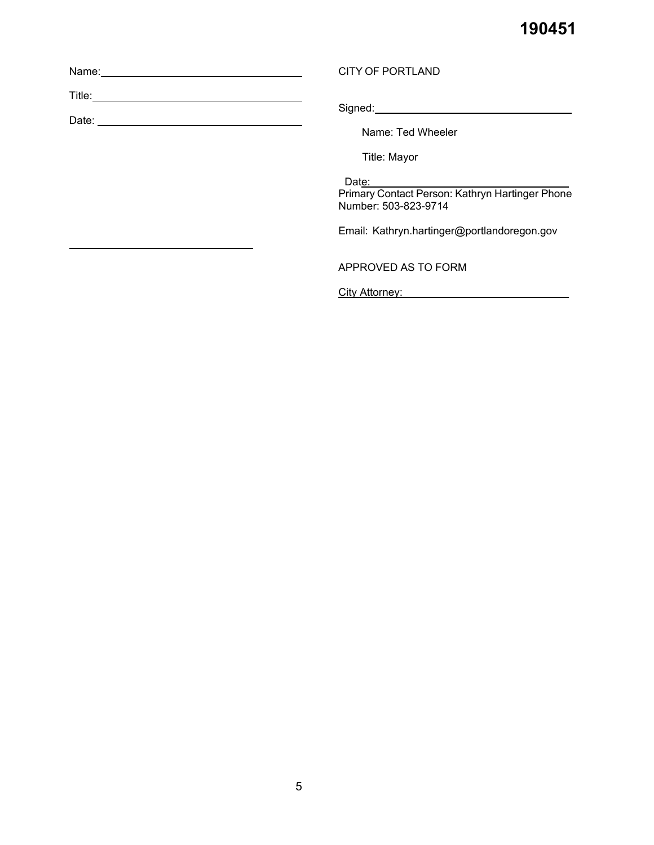| Name: |  |  |  |
|-------|--|--|--|
|       |  |  |  |

Title:

\_

Date:

Signed:

Name: Ted Wheeler

Title: Mayor

CITY OF PORTLAND

Date:

Primary Contact Person: Kathryn Hartinger Phone Number: 503-823-9714

Email: [Kathryn.hartinger@portlandoregon.gov](mailto:Kathryn.hartinger@portlandoregon.gov)

APPROVED AS TO FORM

City Attorney:\_\_\_\_\_\_\_\_\_\_\_\_\_\_\_\_\_\_\_\_\_\_\_\_\_\_\_\_